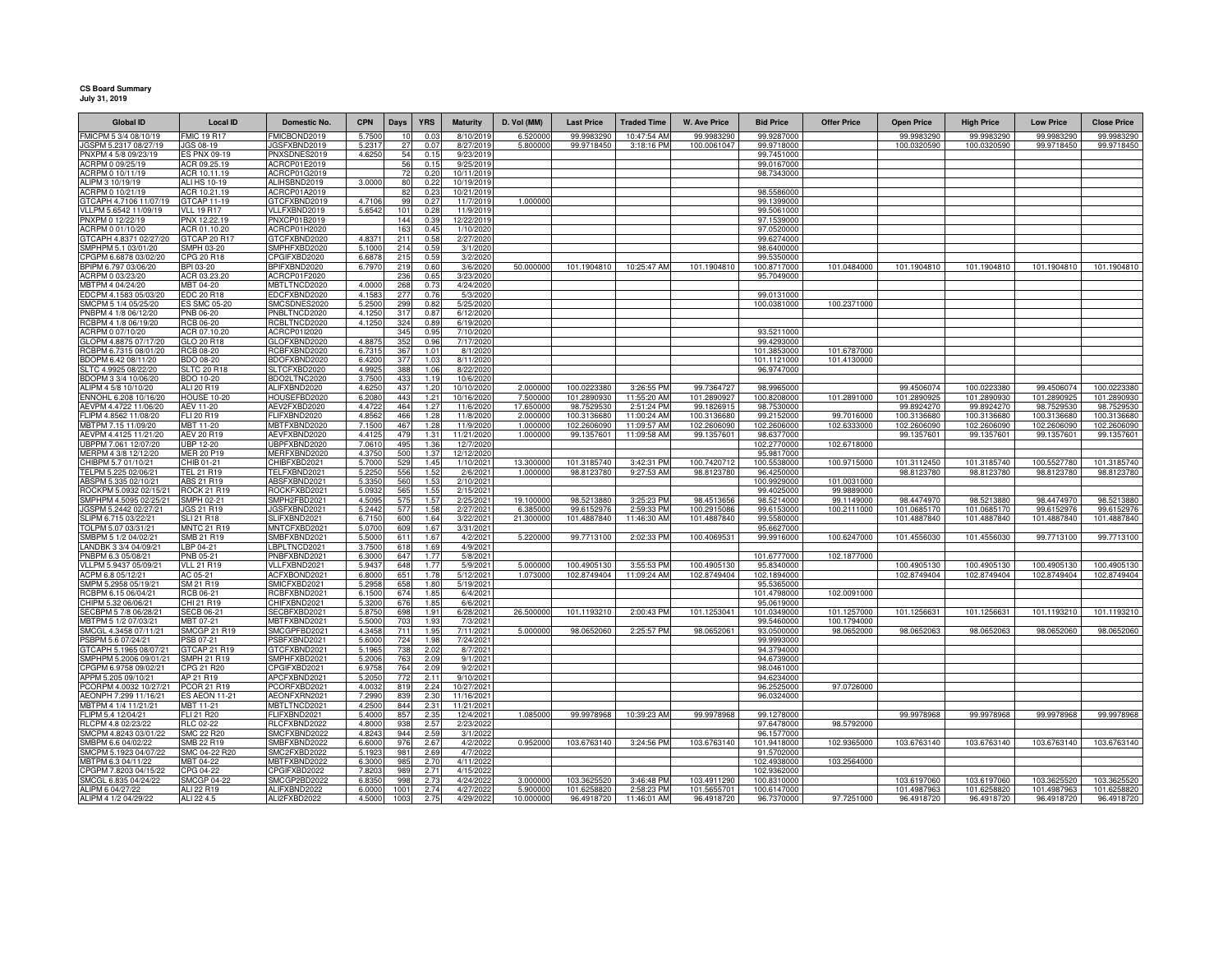## **CS Board Summary July 31, 2019**

| <b>Global ID</b>                                 | <b>Local ID</b>                         | Domestic No.                 | <b>CPN</b>     | Days       | <b>YRS</b>   | <b>Maturity</b>          | D. Vol (MM)        | <b>Last Price</b>          | <b>Traded Time</b>         | <b>W. Ave Price</b>        | <b>Bid Price</b>          | <b>Offer Price</b>        | <b>Open Price</b>          | <b>High Price</b>          | <b>Low Price</b>           | <b>Close Price</b>         |
|--------------------------------------------------|-----------------------------------------|------------------------------|----------------|------------|--------------|--------------------------|--------------------|----------------------------|----------------------------|----------------------------|---------------------------|---------------------------|----------------------------|----------------------------|----------------------------|----------------------------|
| FMICPM 5 3/4 08/10/19                            | <b>FMIC 19 R17</b>                      | FMICBOND2019                 | 5.7500         |            | 0.03         | 8/10/2019                | 6.52000            | 99.9983290                 | 10:47:54 AM                | 99.998329                  | 99.9287000                |                           | 99.9983290                 | 99.9983290                 | 99.9983290                 | 99.9983290                 |
| JGSPM 5.2317 08/27/19                            | JGS 08-19                               | JGSFXBND2019                 | 5.231          | 27         | 0.07         | 8/27/2019                | 5.800000           | 99.9718450                 | 3:18:16 PM                 | 100.0061047                | 99.9718000                |                           | 100.0320590                | 100.0320590                | 99.9718450                 | 99.9718450                 |
| PNXPM 4 5/8 09/23/19                             | ES PNX 09-19                            | PNXSDNES2019                 | 4.625          | 54         | 0.15         | 9/23/2019                |                    |                            |                            |                            | 99.7451000                |                           |                            |                            |                            |                            |
| ACRPM 0 09/25/19                                 | ACR 09.25.19                            | ACRCP01E2019                 |                | 56         | 0.15         | 9/25/2019                |                    |                            |                            |                            | 99.0167000                |                           |                            |                            |                            |                            |
| ACRPM 0 10/11/19<br>ALIPM 3 10/19/19             | ACR 10.11.19<br>ALI HS 10-19            | ACRCP01G2019<br>ALIHSBND2019 | 3.0000         | 72<br>80   | 0.20<br>0.22 | 10/11/2019<br>10/19/2019 |                    |                            |                            |                            | 98.7343000                |                           |                            |                            |                            |                            |
| ACRPM 0 10/21/19                                 | ACR 10.21.19                            | ACRCP01A2019                 |                | 82         | 0.23         | 10/21/2019               |                    |                            |                            |                            | 98.5586000                |                           |                            |                            |                            |                            |
| GTCAPH 4.7106 11/07/19                           | GTCAP 11-19                             | GTCFXBND2019                 | 4,7106         | 99         | 0.27         | 11/7/2019                | 1.000000           |                            |                            |                            | 99.1399000                |                           |                            |                            |                            |                            |
| VLLPM 5.6542 11/09/19                            | <b>VLL 19 R17</b>                       | VLLFXBND2019                 | 5.6542         | 101        | 0.28         | 11/9/201                 |                    |                            |                            |                            | 99.5061000                |                           |                            |                            |                            |                            |
| PNXPM 0 12/22/19                                 | PNX 12.22.19                            | PNXCP01B2019                 |                | 144        | 0.39         | 12/22/201                |                    |                            |                            |                            | 97.1539000                |                           |                            |                            |                            |                            |
| ACRPM 0 01/10/20                                 | ACR 01.10.20                            | ACRCP01H2020                 |                | 163        | 0.45         | 1/10/2020                |                    |                            |                            |                            | 97.0520000                |                           |                            |                            |                            |                            |
| GTCAPH 4.8371 02/27/20                           | GTCAP 20 R17                            | GTCFXBND2020                 | 4.837          | 211        | 0.58         | 2/27/2020                |                    |                            |                            |                            | 99.6274000                |                           |                            |                            |                            |                            |
| SMPHPM 5.1 03/01/20                              | SMPH 03-20                              | SMPHFXBD2020                 | 5.1000         | 214        | 0.59         | 3/1/2020                 |                    |                            |                            |                            | 98.6400000                |                           |                            |                            |                            |                            |
| CPGPM 6.6878 03/02/20<br>BPIPM 6.797 03/06/20    | CPG 20 R18<br>BPI 03-20                 | CPGIFXBD2020<br>BPIFXBND2020 | 6.687<br>6.797 | 215<br>219 | 0.59<br>0.60 | 3/2/2020<br>3/6/2020     | 50,00000           | 101.1904810                | 10:25:47 AM                | 101.1904810                | 99.5350000<br>100.8717000 | 101.0484000               | 101.1904810                | 101.1904810                | 101.1904810                | 101.1904810                |
| ACRPM 0 03/23/20                                 | ACR 03.23.20                            | ACRCP01F2020                 |                | 236        | 0.65         | 3/23/2020                |                    |                            |                            |                            | 95.7049000                |                           |                            |                            |                            |                            |
| MBTPM 4 04/24/20                                 | MBT 04-20                               | MBTLTNCD2020                 | 4,000          | 268        | 0.73         | 4/24/2020                |                    |                            |                            |                            |                           |                           |                            |                            |                            |                            |
| EDCPM 4.1583 05/03/20                            | EDC 20 R18                              | EDCFXBND2020                 | 4.158          | 277        | 0.76         | 5/3/2020                 |                    |                            |                            |                            | 99.0131000                |                           |                            |                            |                            |                            |
| SMCPM 5 1/4 05/25/20                             | <b>ES SMC 05-20</b>                     | SMCSDNES2020                 | 5.250          | 299        | 0.82         | 5/25/2020                |                    |                            |                            |                            | 100.0381000               | 100.2371000               |                            |                            |                            |                            |
| PNBPM 4 1/8 06/12/20                             | <b>PNB 06-20</b>                        | PNBLTNCD2020                 | 4.125          | 317        | 0.87         | 6/12/2020                |                    |                            |                            |                            |                           |                           |                            |                            |                            |                            |
| RCBPM 4 1/8 06/19/20                             | RCB 06-20                               | RCBLTNCD2020                 | 4.125          | 324        | 0.89         | 6/19/2020                |                    |                            |                            |                            |                           |                           |                            |                            |                            |                            |
| ACRPM 0 07/10/20<br>GLOPM 4.8875 07/17/20        | ACR 07.10.20<br>GLO 20 R18              | ACRCP01I2020<br>GLOFXBND2020 | 4.887          | 345<br>352 | 0.95<br>0.96 | 7/10/2020                |                    |                            |                            |                            | 93.5211000<br>99.4293000  |                           |                            |                            |                            |                            |
| RCBPM 6.7315 08/01/20                            | <b>RCB 08-20</b>                        | RCBFXBND2020                 | 6.731          | 367        | 1.01         | 7/17/2020<br>8/1/2020    |                    |                            |                            |                            | 101.3853000               | 101.6787000               |                            |                            |                            |                            |
| BDOPM 6.42 08/11/20                              | <b>BDO 08-20</b>                        | BDOFXBND2020                 | 6.420          | 377        | 1.03         | 8/11/2020                |                    |                            |                            |                            | 101.1121000               | 101.4130000               |                            |                            |                            |                            |
| SLTC 4.9925 08/22/20                             | <b>SLTC 20 R18</b>                      | SLTCFXBD2020                 | 4.992          | 388        | 1.06         | 8/22/2020                |                    |                            |                            |                            | 96.9747000                |                           |                            |                            |                            |                            |
| BDOPM 3 3/4 10/06/20                             | <b>BDO 10-20</b>                        | BDO2LTNC2020                 | 3.7500         | 433        | 1.19         | 10/6/2020                |                    |                            |                            |                            |                           |                           |                            |                            |                            |                            |
| ALIPM 4 5/8 10/10/20                             | ALI 20 R19                              | ALIFXBND2020                 | 4.6250         | 437        | 1.20         | 10/10/2020               | 2.000000           | 100.0223380                | 3:26:55 PM                 | 99.7364727                 | 98.9965000                |                           | 99.4506074                 | 100.0223380                | 99.4506074                 | 100.0223380                |
| ENNOHL 6.208 10/16/20                            | <b>HOUSE 10-20</b>                      | HOUSEFBD2020                 | 6.208          | 443        | 1.21         | 10/16/2020               | 7.50000            | 101.2890930                | 11:55:20 AM                | 101.2890927                | 100.8208000               | 101.2891000               | 101.2890925                | 101.2890930                | 101.2890925                | 101.2890930                |
| AEVPM 4.4722 11/06/20                            | AEV 11-20                               | AEV2FXBD2020                 | 4.472          | 464        | 1.27         | 11/6/2020                | 17.65000           | 98.7529530                 | 2:51:24 PM                 | 99.1826915                 | 98.7530000                |                           | 99.8924270                 | 99.8924270                 | 98.7529530                 | 98.7529530                 |
| FLIPM 4.8562 11/08/20<br>MBTPM 7.15 11/09/20     | FLI 20 R19<br>MBT 11-20                 | FLIFXBND2020<br>MBTFXBND2020 | 4.856<br>7.150 | 466<br>467 | 1.28<br>1.28 | 11/8/202<br>11/9/2020    | 2.00000<br>1.00000 | 100.3136680<br>102.2606090 | 11:00:24 AM<br>11:09:57 AM | 100.3136680<br>102.2606090 | 99.2152000<br>102.2606000 | 99.7016000<br>102.6333000 | 100.3136680<br>102.2606090 | 100.3136680<br>102.2606090 | 100.3136680<br>102.2606090 | 100.3136680<br>102.2606090 |
| AEVPM 4.4125 11/21/20                            | AEV 20 R19                              | AEVFXBND2020                 | 4.412          | 479        | 1.31         | 11/21/202                | 1.00000            | 99.1357601                 | 11:09:58 AM                | 99.1357601                 | 98.6377000                |                           | 99.1357601                 | 99.1357601                 | 99.1357601                 | 99.1357601                 |
| UBPPM 7.061 12/07/20                             | <b>UBP 12-20</b>                        | UBPFXBND2020                 | 7.061          | 495        | 1.36         | 12/7/2020                |                    |                            |                            |                            | 102.2770000               | 102.6718000               |                            |                            |                            |                            |
| MERPM 4 3/8 12/12/20                             | <b>MER 20 P19</b>                       | MERFXBND2020                 | 4.375          | 500        | 1.37         | 12/12/2020               |                    |                            |                            |                            | 95.9817000                |                           |                            |                            |                            |                            |
| CHIBPM 5.7 01/10/21                              | CHIB 01-21                              | CHIBFXBD2021                 | 5.700          | 529        | 1.45         | 1/10/2021                | 13,300000          | 101.3185740                | 3:42:31 PM                 | 100.7420712                | 100.5538000               | 100.9715000               | 101.3112450                | 101.3185740                | 100.5527780                | 101.3185740                |
| TELPM 5.225 02/06/21                             | TEL 21 R19                              | TELFXBND2021                 | 5.225          | 556        | 1.52         | 2/6/2021                 | 1.000000           | 98.8123780                 | 9:27:53 AM                 | 98.8123780                 | 96.4250000                |                           | 98.8123780                 | 98.8123780                 | 98.8123780                 | 98.8123780                 |
| ABSPM 5.335 02/10/21                             | ABS 21 R19                              | ABSFXBND2021                 | 5.335          | 560        | 1.53         | 2/10/2021                |                    |                            |                            |                            | 100.9929000               | 101.0031000               |                            |                            |                            |                            |
| ROCKPM 5.0932 02/15/2<br>SMPHPM 4.5095 02/25/21  | <b>ROCK 21 R19</b><br><b>SMPH 02-21</b> | ROCKFXBD2021<br>SMPH2FBD2021 | 5.093<br>4.509 | 565<br>575 | 1.55<br>1.57 | 2/15/2021<br>2/25/2021   | 19.100000          | 98.5213880                 | 3:25:23 PM                 | 98.4513656                 | 99.4025000<br>98.5214000  | 99.9889000<br>99.1149000  | 98.4474970                 | 98.5213880                 | 98.4474970                 | 98.5213880                 |
| GSPM 5.2442 02/27/21                             | JGS 21 R19                              | JGSFXBND202                  | 5.244          | 577        | 1.58         | 2/27/202                 | 6.38500            | 99.6152976                 | 2:59:33 PM                 | 100.2915086                | 99.6153000                | 100.2111000               | 101.0685170                | 101.0685170                | 99.6152976                 | 99.6152976                 |
| SLIPM 6.715 03/22/21                             | <b>SLI 21 R18</b>                       | SLIFXBND2021                 | 6.715          | 600        | 1.64         | 3/22/2021                | 21,30000           | 101.4887840                | 11:46:30 AM                | 101.4887840                | 99.5580000                |                           | 101.4887840                | 101.4887840                | 101.4887840                | 101.4887840                |
| OLPM 5.07 03/31/21                               | <b>MNTC 21 R19</b>                      | MNTCFXBD202                  | 5.070          | 609        | 1.67         | 3/31/2021                |                    |                            |                            |                            | 95.6627000                |                           |                            |                            |                            |                            |
| SMBPM 5 1/2 04/02/21                             | <b>SMB 21 R19</b>                       | SMBFXBND2021                 | 5.500          | 611        | 1.67         | 4/2/2021                 | 5.22000            | 99.7713100                 | 2:02:33 PM                 | 100.406953                 | 99.9916000                | 100.6247000               | 101.4556030                | 101.4556030                | 99.7713100                 | 99.7713100                 |
| ANDBK 3 3/4 04/09/21                             | LBP 04-21                               | LBPLTNCD2021                 | 3.750          | 618        | 1.69         | 4/9/202                  |                    |                            |                            |                            |                           |                           |                            |                            |                            |                            |
| PNBPM 6.3 05/08/21                               | PNB 05-21                               | PNBFXBND2021                 | 6.300          | 647        | 1.77         | 5/8/202                  |                    |                            |                            |                            | 101.6777000               | 102.1877000               |                            |                            |                            |                            |
| /LLPM 5.9437 05/09/21<br>ACPM 6.8 05/12/21       | <b>VLL 21 R19</b><br>AC 05-21           | VLLFXBND2021<br>ACFXBOND2021 | 5.943<br>6.800 | 648<br>651 | 1.77<br>1.78 | 5/9/202<br>5/12/2021     | 5.00000<br>1.07300 | 100.4905130<br>102.8749404 | 3:55:53 PM<br>11:09:24 AM  | 100.4905130                | 95.8340000<br>102.1894000 |                           | 100.4905130<br>102.8749404 | 100.4905130<br>102.8749404 | 100.490513<br>102.8749404  | 100.4905130<br>102.8749404 |
| SMPM 5.2958 05/19/21                             | SM 21 R19                               | SMICFXBD2021                 | 5.295          | 65         | 1.80         | 5/19/2021                |                    |                            |                            | 102.8749404                | 95.5365000                |                           |                            |                            |                            |                            |
| RCBPM 6.15 06/04/21                              | RCB 06-21                               | RCBFXBND2021                 | 6.150          | 674        | 1.85         | 6/4/202                  |                    |                            |                            |                            | 101.4798000               | 102.0091000               |                            |                            |                            |                            |
| CHIPM 5.32 06/06/21                              | CHI 21 R19                              | CHIFXBND2021                 | 5.320          | 676        | 1.85         | 6/6/2021                 |                    |                            |                            |                            | 95.0619000                |                           |                            |                            |                            |                            |
| ECBPM 5 7/8 06/28/21                             | <b>SECB 06-21</b>                       | SECBFXBD2021                 | 5.875          | 698        | 1.91         | 6/28/2021                | 26.50000           | 101.119321                 | 2:00:43 PM                 | 101.1253041                | 101.0349000               | 101.1257000               | 101.1256631                | 101.125663                 | 101.119321                 | 101.1193210                |
| MBTPM 5 1/2 07/03/21                             | MBT 07-21                               | MBTFXBND2021                 | 5.500          | 703        | 1.93         | 7/3/2021                 |                    |                            |                            |                            | 99.5460000                | 100.1794000               |                            |                            |                            |                            |
| SMCGL 4.3458 07/11/21                            | <b>SMCGP 21 R19</b>                     | SMCGPFBD2021                 | 4.345          | 711        | 1.95         | 7/11/2021                | 5.00000            | 98.0652060                 | 2:25:57 PM                 | 98.0652061                 | 93.0500000                | 98.0652000                | 98.0652063                 | 98.0652063                 | 98.0652060                 | 98.0652060                 |
| PSBPM 5.6 07/24/21                               | SB 07-21                                | PSBFXBND2021                 | 5.600          | 724        | 1.98         | 7/24/2021                |                    |                            |                            |                            | 99.9993000                |                           |                            |                            |                            |                            |
| GTCAPH 5.1965 08/07/21<br>SMPHPM 5.2006 09/01/21 | GTCAP 21 R19<br>SMPH 21 R19             | GTCFXBND2021<br>SMPHFXBD2021 | 5.196<br>5.200 | 738<br>763 | 2.02<br>2.09 | 8/7/2021<br>9/1/2021     |                    |                            |                            |                            | 94.3794000<br>94.6739000  |                           |                            |                            |                            |                            |
| CPGPM 6.9758 09/02/21                            | CPG 21 R20                              | CPGIFXBD2021                 | 6.975          | 764        | 2.09         | 9/2/2021                 |                    |                            |                            |                            | 98.0461000                |                           |                            |                            |                            |                            |
| APPM 5.205 09/10/21                              | AP 21 R19                               | APCFXBND2021                 | 5.205          | 772        | 2.11         | 9/10/2021                |                    |                            |                            |                            | 94.6234000                |                           |                            |                            |                            |                            |
| PCORPM 4.0032 10/27/21                           | <b>PCOR 21 R19</b>                      | PCORFXBD2021                 | 4.0032         | 819        | 2.24         | 10/27/2021               |                    |                            |                            |                            | 96.2525000                | 97.0726000                |                            |                            |                            |                            |
| AEONPH 7.299 11/16/21                            | S AEON 11-21                            | AEONFXRN2021                 | 7.299          | 839        | 2.30         | 11/16/2021               |                    |                            |                            |                            | 96.0324000                |                           |                            |                            |                            |                            |
| MBTPM 4 1/4 11/21/21                             | MBT 11-21                               | MBTLTNCD2021                 | 4.2500         | 844        | 2.31         | 11/21/2021               |                    |                            |                            |                            |                           |                           |                            |                            |                            |                            |
| FLIPM 5.4 12/04/21                               | FLI 21 R20                              | FLIFXBND2021                 | 5.400          | 857        | 2.35         | 12/4/2021                | 1.085000           | 99.9978968                 | 10:39:23 AM                | 99.9978968                 | 99.1278000                |                           | 99.9978968                 | 99.9978968                 | 99.9978968                 | 99.9978968                 |
| RLCPM 4.8 02/23/22<br>SMCPM 4.8243 03/01/22      | RLC 02-22<br><b>SMC 22 R20</b>          | RLCFXBND2022<br>SMCFXBND2022 | 4.800<br>4.824 | 938<br>944 | 2.57<br>2.59 | 2/23/2022<br>3/1/2022    |                    |                            |                            |                            | 97.6478000<br>96.1577000  | 98.5792000                |                            |                            |                            |                            |
| SMBPM 6.6 04/02/22                               | <b>SMB 22 R19</b>                       | SMBFXBND2022                 | 6.600          | 976        | 2.67         | 4/2/2022                 | 0.952000           | 103.6763140                | 3:24:56 PM                 | 103.6763140                | 101.9418000               | 102.9365000               | 103.6763140                | 103.6763140                | 103.6763140                | 103.6763140                |
| SMCPM 5.1923 04/07/22                            | SMC 04-22 R20                           | SMC2FXBD2022                 | 5.192          | 981        | 2.69         | 4/7/2022                 |                    |                            |                            |                            | 91.5702000                |                           |                            |                            |                            |                            |
| MBTPM 6.3 04/11/22                               | MBT 04-22                               | MBTFXBND2022                 | 6.300          | 985        | 2.70         | 4/11/2022                |                    |                            |                            |                            | 102.4938000               | 103.2564000               |                            |                            |                            |                            |
| CPGPM 7.8203 04/15/22                            | CPG 04-22                               | CPGIFXBD2022                 | 7,820          | 989        | 2.71         | 4/15/202                 |                    |                            |                            |                            | 102.9362000               |                           |                            |                            |                            |                            |
| SMCGL 6.835 04/24/22                             | <b>SMCGP 04-22</b>                      | SMCGP2BD2022                 | 6.835          | 998        | 2.73         | 4/24/2022                | 3.000000           | 103.3625520                | 3:46:48 PM                 | 103.4911290                | 100.8310000               |                           | 103.6197060                | 103.6197060                | 103.3625520                | 103.3625520                |
| ALIPM 6 04/27/22                                 | ALI 22 R19                              | ALIFXBND2022                 | 6.000          | 1001       | 2.74         | 4/27/202                 | 5.90000            | 101.6258820                | 2:58:23 PM                 | 101.5655701                | 100.6147000               |                           | 101.4987963                | 101.6258820                | 101.4987963                | 101.6258820                |
| ALIPM 4 1/2 04/29/22                             | ALI 22 4.5                              | ALI2FXBD2022                 | 4,500          | 1003       | 2.75         | 4/29/2022                | 10.000000          | 96.4918720                 | 11:46:01 AM                | 96.4918720                 | 96.7370000                | 97.7251000                | 96.4918720                 | 96.4918720                 | 96.4918720                 | 96.4918720                 |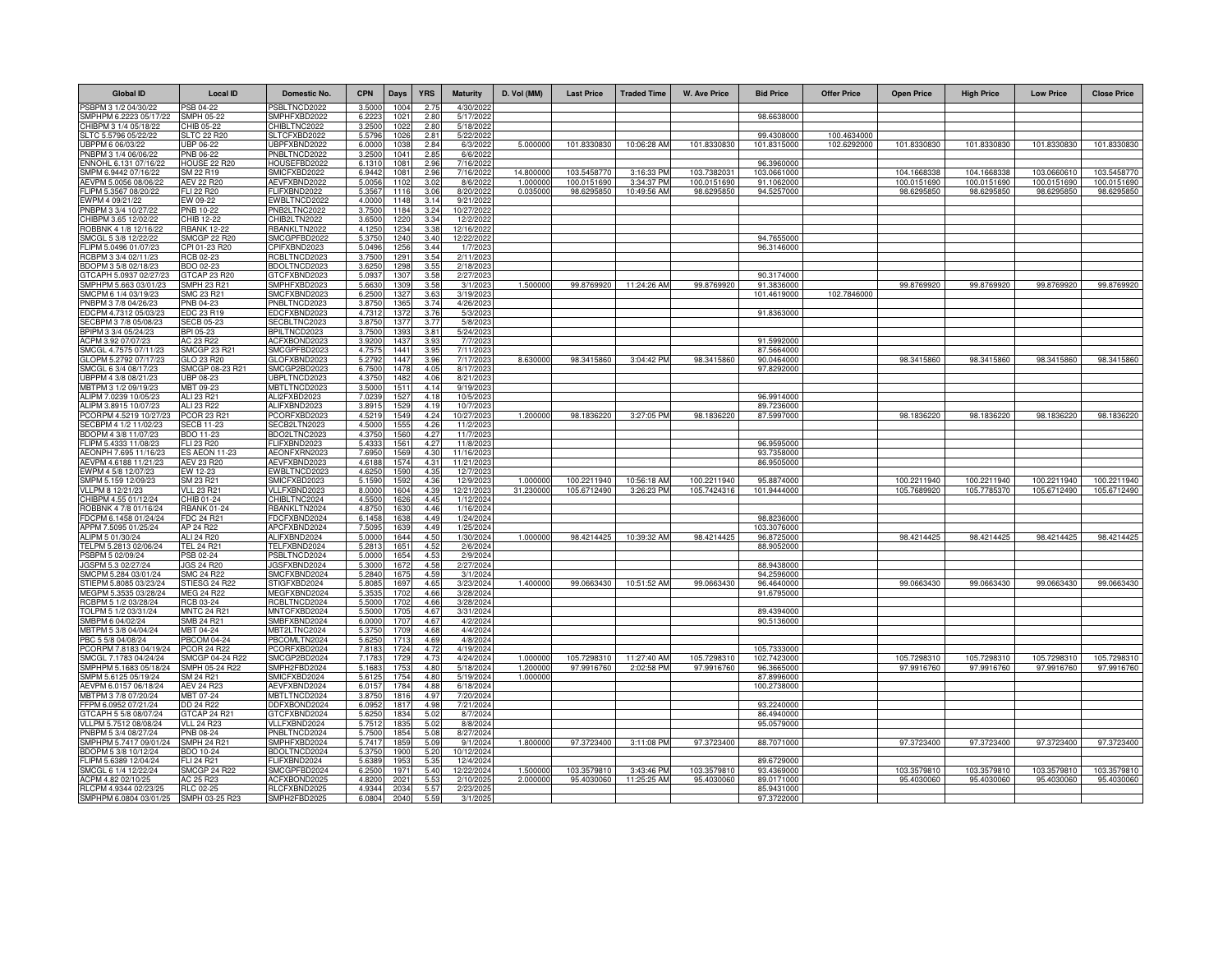| <b>Global ID</b>                                | <b>Local ID</b>                           | Domestic No.                        | <b>CPN</b>      | Days                     | <b>YRS</b>            | <b>Maturity</b>          | D. Vol (MM)           | <b>Last Price</b>          | <b>Traded Time</b>        | <b>W. Ave Price</b>        | <b>Bid Price</b>          | <b>Offer Price</b> | <b>Open Price</b>          | <b>High Price</b>          | <b>Low Price</b>           | <b>Close Price</b>         |
|-------------------------------------------------|-------------------------------------------|-------------------------------------|-----------------|--------------------------|-----------------------|--------------------------|-----------------------|----------------------------|---------------------------|----------------------------|---------------------------|--------------------|----------------------------|----------------------------|----------------------------|----------------------------|
| SBPM 3 1/2 04/30/22                             | PSB 04-22                                 | <b>PSBLTNCD2022</b>                 | 3.500           | 1004                     | 2.75                  | 4/30/202                 |                       |                            |                           |                            |                           |                    |                            |                            |                            |                            |
| SMPHPM 6.2223 05/17/22                          | <b>SMPH 05-22</b>                         | SMPHFXBD2022                        | 6.2223          | 1021                     | 2.80                  | 5/17/2022                |                       |                            |                           |                            | 98.6638000                |                    |                            |                            |                            |                            |
| HIBPM 3 1/4 05/18/22<br>SLTC 5.5796 05/22/22    | CHIB 05-22<br><b>SLTC 22 R20</b>          | HIBLTNC2022<br>SLTCFXBD2022         | 3.250<br>5.579  | 102<br>102               | 2.80<br>2.8           | 5/18/202<br>5/22/2022    |                       |                            |                           |                            | 99.4308000                | 100 4634000        |                            |                            |                            |                            |
| JBPPM 6 06/03/22                                | <b>UBP 06-22</b>                          | JBPFXBND2022                        | 6.000           | 103                      | 2.84                  | 6/3/2022                 | 5.00000               | 101.8330830                | 10:06:28 AM               | 101.8330830                | 101.8315000               | 102.6292000        | 101.8330830                | 101.8330830                | 101.8330830                | 101.8330830                |
| PNBPM 3 1/4 06/06/22                            | PNB 06-22                                 | PNBLTNCD2022                        | 3.250           | 1041                     | 2.85                  | 6/6/2022                 |                       |                            |                           |                            |                           |                    |                            |                            |                            |                            |
| NNOHL 6.131 07/16/22                            | HOUSE 22 R20                              | HOUSEFBD2022                        | 6.131           | 108                      | 2.96                  | 7/16/202                 |                       |                            |                           |                            | 96.3960000                |                    |                            |                            |                            |                            |
| MPM 6.9442 07/16/22<br>AEVPM 5.0056 08/06/22    | SM 22 R19<br>AEV 22 R20                   | SMICFXBD2022<br>AEVFXBND2022        | 6.9442<br>5.005 | 108<br>1102              | 2.96<br>3.02          | 7/16/2022<br>8/6/2022    | 14,800000<br>1.000000 | 103.5458770<br>100.0151690 | 3:16:33 PM<br>3:34:37 PM  | 103.7382031<br>100.0151690 | 103.0661000<br>91.1062000 |                    | 104.1668338<br>100.0151690 | 104.1668338<br>100.0151690 | 103.0660610<br>100.0151690 | 103.5458770<br>100.0151690 |
| FLIPM 5.3567 08/20/22                           | FLI 22 R20                                | FLIFXBND2022                        | 5.356           | 1116                     | 3.06                  | 8/20/2022                | 0.035000              | 98.6295850                 | 10:49:56 AM               | 98.6295850                 | 94.5257000                |                    | 98.6295850                 | 98.6295850                 | 98.6295850                 | 98.6295850                 |
| EWPM 4 09/21/22                                 | EW 09-22                                  | EWBLTNCD2022                        | 4.000           | 1148                     | 3.14                  | 9/21/2022                |                       |                            |                           |                            |                           |                    |                            |                            |                            |                            |
| PNBPM 3 3/4 10/27/22                            | PNB 10-22                                 | PNB2LTNC2022                        | 3.750           | 1184                     | 3.24                  | 10/27/2022               |                       |                            |                           |                            |                           |                    |                            |                            |                            |                            |
| HIBPM 3.65 12/02/22                             | CHIB 12-22                                | HIB2LTN2022                         | 3.650           | 122                      | 3.34                  | 12/2/202                 |                       |                            |                           |                            |                           |                    |                            |                            |                            |                            |
| ROBBNK 4 1/8 12/16/22<br>MCGL 5 3/8 12/22/22    | <b>RBANK 12-22</b><br><b>SMCGP 22 R20</b> | BANKLTN2022<br>SMCGPFBD2022         | 4.125<br>5.375  | 1234<br>1240             | 3.38<br>3.40          | 12/16/2022<br>12/22/2022 |                       |                            |                           |                            | 94.7655000                |                    |                            |                            |                            |                            |
| -LIPM 5.0496 01/07/23                           | CPI 01-23 R20                             | PIFXBND2023                         | 5.049           | 1256                     | 3.44                  | 1/7/2023                 |                       |                            |                           |                            | 96.3146000                |                    |                            |                            |                            |                            |
| RCBPM 3 3/4 02/11/23                            | RCB 02-23                                 | CBLTNCD2023                         | 3.750           | 129                      | 3.54                  | 2/11/202                 |                       |                            |                           |                            |                           |                    |                            |                            |                            |                            |
| BDOPM 3 5/8 02/18/23                            | BDO 02-23                                 | BDOLTNCD2023                        | 3.625           | 1298                     | 3.55                  | 2/18/2023                |                       |                            |                           |                            |                           |                    |                            |                            |                            |                            |
| GTCAPH 5.0937 02/27/23                          | GTCAP 23 R20                              | GTCFXBND2023                        | 5.093           | 1307                     | 3.58                  | 2/27/2023                |                       |                            |                           |                            | 90.3174000                |                    |                            |                            |                            |                            |
| SMPHPM 5.663 03/01/23<br>SMCPM 6 1/4 03/19/23   | <b>SMPH 23 R21</b><br>SMC 23 R21          | SMPHFXBD2023<br><b>SMCFXBND2023</b> | 5.663<br>6.250  | 1309<br>132              | 3.58<br>3.6           | 3/1/2023<br>3/19/202     | 1.50000               | 99.8769920                 | 11:24:26 AM               | 99.8769920                 | 91.3836000<br>101.4619000 | 102.7846000        | 99.8769920                 | 99.8769920                 | 99.8769920                 | 99.8769920                 |
| PNBPM 3 7/8 04/26/23                            | <b>PNB 04-23</b>                          | PNBLTNCD2023                        | 3.875           | 136                      | 3.74                  | 4/26/202                 |                       |                            |                           |                            |                           |                    |                            |                            |                            |                            |
| EDCPM 4.7312 05/03/23                           | EDC 23 R19                                | EDCFXBND2023                        | 4.731           | 137                      | 3.7(                  | 5/3/202                  |                       |                            |                           |                            | 91.8363000                |                    |                            |                            |                            |                            |
| GECBPM 3 7/8 05/08/23                           | <b>SECB 05-23</b>                         | SECBLTNC2023                        | 3.875           | 137                      | 3.7                   | 5/8/202                  |                       |                            |                           |                            |                           |                    |                            |                            |                            |                            |
| BPIPM 3 3/4 05/24/23                            | BPI 05-23                                 | <b>BPILTNCD2023</b>                 | 3.750           | 139                      | $3.8^{\circ}$         | 5/24/202                 |                       |                            |                           |                            |                           |                    |                            |                            |                            |                            |
| ACPM 3.92 07/07/23<br>SMCGL 4.7575 07/11/23     | AC 23 R22<br><b>SMCGP 23 R21</b>          | ACFXBOND2023<br>SMCGPFBD2023        | 3.920<br>4.757  | 1437<br>1441             | 3.93<br>3.95          | 7/7/2023<br>7/11/202     |                       |                            |                           |                            | 91.5992000<br>87.5664000  |                    |                            |                            |                            |                            |
| GLOPM 5.2792 07/17/23                           | GLO 23 R20                                | GLOFXBND2023                        | 5.2792          | 1447                     | 3.96                  | 7/17/2023                | 8.63000               | 98.3415860                 | 3:04:42 PM                | 98.3415860                 | 90.0464000                |                    | 98.3415860                 | 98.3415860                 | 98.3415860                 | 98.3415860                 |
| MCGL 6 3/4 08/17/23                             | SMCGP 08-23 R21                           | SMCGP2BD2023                        | 6.750           | 1478                     | 4.05                  | 8/17/202                 |                       |                            |                           |                            | 97.8292000                |                    |                            |                            |                            |                            |
| JBPPM 4 3/8 08/21/23                            | <b>UBP 08-23</b>                          | JBPLTNCD2023                        | 4.375           | 1482                     | 4.06                  | 8/21/2023                |                       |                            |                           |                            |                           |                    |                            |                            |                            |                            |
| MBTPM 3 1/2 09/19/23<br>ALIPM 7.0239 10/05/23   | MBT 09-23<br>ALI 23 R21                   | <b>MBTLTNCD2023</b><br>ALI2FXBD2023 | 3.500<br>7.023  | 1511<br>1527             | 4.14<br>4.18          | 9/19/202<br>10/5/202     |                       |                            |                           |                            | 96.9914000                |                    |                            |                            |                            |                            |
| ALIPM 3.8915 10/07/23                           | ALI 23 R22                                | ALIFXBND2023                        | 3.891           | 1529                     | 4.19                  | 10/7/202                 |                       |                            |                           |                            | 89.7236000                |                    |                            |                            |                            |                            |
| PCORPM 4.5219 10/27/2                           | PCOR 23 R21                               | PCORFXBD2023                        | 4.521           | 1549                     | 4.24                  | 10/27/2023               | 1.20000               | 98.1836220                 | 3:27:05 PM                | 98.1836220                 | 87.5997000                |                    | 98.1836220                 | 98.183622                  | 98.1836220                 | 98.1836220                 |
| SECBPM 4 1/2 11/02/23                           | <b>SECB 11-23</b>                         | SECB2LTN2023                        | 4.500           | 155                      | 4.26                  | 11/2/202                 |                       |                            |                           |                            |                           |                    |                            |                            |                            |                            |
| BDOPM 4 3/8 11/07/23                            | <b>BDO 11-23</b>                          | BDO2LTNC2023                        | 4.3750          | 1560                     | 4.27                  | 11/7/2023                |                       |                            |                           |                            |                           |                    |                            |                            |                            |                            |
| FLIPM 5.4333 11/08/23<br>AEONPH 7.695 11/16/23  | FLI 23 R20<br><b>ES AEON 11-23</b>        | FLIFXBND2023<br>AEONFXRN2023        | 5.433<br>7.695  | 156 <sup>°</sup><br>1569 | 4.27<br>4.30          | 11/8/202<br>11/16/2023   |                       |                            |                           |                            | 96.9595000<br>93.7358000  |                    |                            |                            |                            |                            |
| AEVPM 4.6188 11/21/23                           | <b>AEV 23 R20</b>                         | AEVFXBND2023                        | 4.618           | 157                      | 4.3                   | 11/21/202                |                       |                            |                           |                            | 86.9505000                |                    |                            |                            |                            |                            |
| EWPM 4 5/8 12/07/23                             | EW 12-23                                  | EWBLTNCD2023                        | 4.625           | 159                      | 4.35                  | 12/7/202                 |                       |                            |                           |                            |                           |                    |                            |                            |                            |                            |
| SMPM 5.159 12/09/23                             | SM 23 R21                                 | SMICFXBD2023                        | 5.159           | 1592                     | 4.36                  | 12/9/202                 | 1.00000               | 100.2211940                | 10:56:18 AM               | 100.2211940                | 95.8874000                |                    | 100.2211940                | 100.2211940                | 100.2211940                | 100.2211940                |
| /LLPM 8 12/21/23                                | <b>VLL 23 R21</b>                         | VLLFXBND2023                        | 8.000           | 1604                     | 4.39                  | 12/21/2023               | 31.230000             | 105.6712490                | 3:26:23 PM                | 105.7424316                | 101.9444000               |                    | 105.7689920                | 105.7785370                | 105.6712490                | 105.6712490                |
| CHIBPM 4.55 01/12/24<br>ROBBNK 4 7/8 01/16/24   | CHIB 01-24<br><b>RBANK 01-24</b>          | CHIBLTNC2024<br>RBANKLTN2024        | 4.550<br>4.875  | 162<br>1630              | 4.45<br>4.46          | 1/12/2024<br>1/16/2024   |                       |                            |                           |                            |                           |                    |                            |                            |                            |                            |
| FDCPM 6.1458 01/24/24                           | FDC 24 R21                                | FDCFXBND2024                        | 6.145           | 1638                     | 4.49                  | 1/24/2024                |                       |                            |                           |                            | 98.8236000                |                    |                            |                            |                            |                            |
| APPM 7.5095 01/25/24                            | AP 24 R22                                 | APCFXBND2024                        | 7.509           | 1639                     | 4.49                  | 1/25/2024                |                       |                            |                           |                            | 103.3076000               |                    |                            |                            |                            |                            |
| LIPM 5 01/30/24                                 | ALI 24 R20                                | ALIFXBND2024                        | 5.000           | 1644                     | 4.50                  | 1/30/2024                | 1.000000              | 98.4214425                 | 10:39:32 AM               | 98.4214425                 | 96.8725000                |                    | 98.4214425                 | 98.4214425                 | 98.4214425                 | 98.4214425                 |
| ELPM 5.2813 02/06/24                            | <b>TEL 24 R21</b>                         | FELFXBND2024                        | 5.281           | $165 -$                  | 4.52                  | 2/6/2024                 |                       |                            |                           |                            | 88.9052000                |                    |                            |                            |                            |                            |
| SBPM 5 02/09/24<br>GSPM 5.3 02/27/24            | PSB 02-24<br>JGS 24 R20                   | SBLTNCD2024<br><b>JGSFXBND2024</b>  | 5.000<br>5.300  | 1654<br>1672             | 4.53<br>4.58          | 2/9/2024<br>2/27/2024    |                       |                            |                           |                            | 88.9438000                |                    |                            |                            |                            |                            |
| MCPM 5.284 03/01/24                             | SMC 24 R22                                | SMCFXBND2024                        | 5.284           | 167                      | 4.59                  | 3/1/2024                 |                       |                            |                           |                            | 94.2596000                |                    |                            |                            |                            |                            |
| STIEPM 5.8085 03/23/24                          | STIESG 24 R22                             | STIGFXBD2024                        | 5.808           | 169                      | 4.65                  | 3/23/2024                | 1.400000              | 99.0663430                 | 10:51:52 AM               | 99.0663430                 | 96.4640000                |                    | 99.0663430                 | 99.0663430                 | 99.0663430                 | 99.0663430                 |
| MEGPM 5.3535 03/28/24                           | <b>MEG 24 R22</b>                         | <b>MEGFXBND2024</b>                 | 5.353           | 1702                     | 4.66                  | 3/28/2024                |                       |                            |                           |                            | 91.6795000                |                    |                            |                            |                            |                            |
| RCBPM 5 1/2 03/28/24<br>FOLPM 5 1/2 03/31/24    | RCB 03-24                                 | RCBLTNCD2024<br><b>MNTCFXBD2024</b> | 5.5000<br>5.500 | 1702<br>170              | 4.66<br>4.6           | 3/28/2024                |                       |                            |                           |                            | 89.4394000                |                    |                            |                            |                            |                            |
| SMBPM 6 04/02/24                                | <b>MNTC 24 R21</b><br>SMB 24 R21          | MBFXBND2024                         | 6.000           | 170                      | 4.6                   | 3/31/2024<br>4/2/2024    |                       |                            |                           |                            | 90.5136000                |                    |                            |                            |                            |                            |
| MBTPM 5 3/8 04/04/24                            | MBT 04-24                                 | MBT2LTNC2024                        | 5.375           | 170                      | 4.68                  | 4/4/2024                 |                       |                            |                           |                            |                           |                    |                            |                            |                            |                            |
| PBC 5 5/8 04/08/24                              | <b>PBCOM 04-24</b>                        | PBCOMLTN2024                        | 5.625           | 171                      | 4.69                  | 4/8/2024                 |                       |                            |                           |                            |                           |                    |                            |                            |                            |                            |
| PCORPM 7.8183 04/19/24                          | <b>PCOR 24 R22</b>                        | PCORFXBD2024                        | 7.818           | 1724                     | 4.72                  | 4/19/2024                |                       |                            |                           |                            | 105.7333000               |                    |                            |                            |                            |                            |
| SMCGL 7.1783 04/24/24<br>SMPHPM 5.1683 05/18/24 | SMCGP 04-24 R22<br>SMPH 05-24 R22         | SMCGP2BD2024<br>SMPH2FBD2024        | 7.178<br>5.168  | 172<br>1753              | 4.73<br>4.80          | 4/24/2024<br>5/18/2024   | 1.00000<br>1.20000    | 105.7298310<br>97.9916760  | 11:27:40 AM<br>2:02:58 PM | 105.7298310<br>97.9916760  | 102.7423000<br>96.3665000 |                    | 105.7298310<br>97.9916760  | 105.7298310<br>97.9916760  | 105.7298310<br>97.9916760  | 105.7298310<br>97.9916760  |
| SMPM 5.6125 05/19/24                            | SM 24 R21                                 | SMICFXBD2024                        | 5.612           | 1754                     | 4.80                  | 5/19/2024                | 1.00000               |                            |                           |                            | 87.8996000                |                    |                            |                            |                            |                            |
| AEVPM 6.0157 06/18/24                           | <b>AEV 24 R23</b>                         | AEVFXBND2024                        | 6.015           | 1784                     | 4.88                  | 6/18/2024                |                       |                            |                           |                            | 100.2738000               |                    |                            |                            |                            |                            |
| MBTPM 3 7/8 07/20/24                            | MBT 07-24                                 | <b>MBTLTNCD2024</b>                 | 3.875           | 1816                     | 4.97                  | 7/20/2024                |                       |                            |                           |                            |                           |                    |                            |                            |                            |                            |
| FFPM 6.0952 07/21/24                            | DD 24 R22                                 | DFXBOND2024                         | 6.095           | 1817                     | 4.98                  | 7/21/2024                |                       |                            |                           |                            | 93.2240000                |                    |                            |                            |                            |                            |
| GTCAPH 5 5/8 08/07/24<br>/LLPM 5.7512 08/08/24  | GTCAP 24 R21<br><b>VLL 24 R23</b>         | GTCFXBND2024<br>VLLFXBND2024        | 5.625<br>5.751  | 1834<br>183              | 5.02<br>5.02          | 8/7/2024<br>8/8/2024     |                       |                            |                           |                            | 86.4940000<br>95.0579000  |                    |                            |                            |                            |                            |
| PNBPM 5 3/4 08/27/24                            | PNB 08-24                                 | PNBLTNCD2024                        | 5.750           | 1854                     | 5.08                  | 8/27/2024                |                       |                            |                           |                            |                           |                    |                            |                            |                            |                            |
| SMPHPM 5.7417 09/01/24                          | <b>SMPH 24 R21</b>                        | SMPHFXBD2024                        | 5.7417          | 185                      | 5.09                  | 9/1/2024                 | 1.800000              | 97.3723400                 | 3:11:08 PM                | 97.3723400                 | 88.7071000                |                    | 97.3723400                 | 97.3723400                 | 97.3723400                 | 97.3723400                 |
| BDOPM 5 3/8 10/12/24                            | BDO 10-24                                 | BDOLTNCD2024                        | 5.3750          | 1900                     | 5.20                  | 10/12/2024               |                       |                            |                           |                            |                           |                    |                            |                            |                            |                            |
| FLIPM 5.6389 12/04/24                           | <b>FLI 24 R21</b>                         | FLIFXBND2024                        | 5.638           | 1953                     | 5.35                  | 12/4/2024                |                       |                            |                           |                            | 89.6729000                |                    |                            |                            |                            |                            |
| SMCGL 6 1/4 12/22/24<br>ACPM 4.82 02/10/25      | <b>SMCGP 24 R22</b><br>AC 25 R23          | SMCGPFBD2024<br><b>ACFXBOND2025</b> | 6.250<br>4.820  | 1971<br>202              | 5.40<br>$5.5^{\circ}$ | 12/22/2024<br>2/10/202   | 1.50000<br>2.00000    | 103.3579810<br>95.4030060  | 3:43:46 PM<br>11:25:25 AM | 103.3579810<br>95.4030060  | 93.4369000<br>89.0171000  |                    | 103.3579810<br>95.4030060  | 103.3579810<br>95.4030060  | 103.3579810<br>95.4030060  | 103.3579810<br>95.4030060  |
| RLCPM 4.9344 02/23/25                           | <b>RLC 02-25</b>                          | RLCFXBND2025                        | 4.934           | 203                      | 5.5                   | 2/23/202                 |                       |                            |                           |                            | 85.9431000                |                    |                            |                            |                            |                            |
| SMPHPM 6.0804 03/01/25                          | SMPH 03-25 R23                            | SMPH2FBD2025                        | 6.080           | 204                      | 5.59                  | 3/1/2025                 |                       |                            |                           |                            | 97.3722000                |                    |                            |                            |                            |                            |
|                                                 |                                           |                                     |                 |                          |                       |                          |                       |                            |                           |                            |                           |                    |                            |                            |                            |                            |